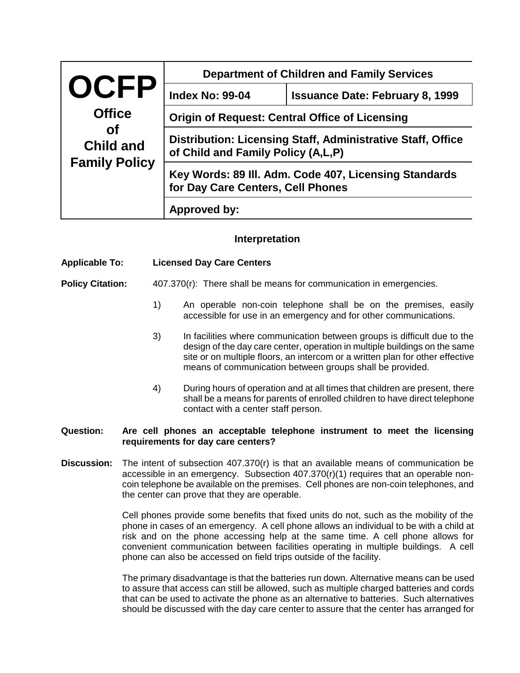|                                                                                       | <b>Department of Children and Family Services</b>                                                 |                                        |  |
|---------------------------------------------------------------------------------------|---------------------------------------------------------------------------------------------------|----------------------------------------|--|
| <b>OCFP</b><br><b>Office</b><br><b>of</b><br><b>Child and</b><br><b>Family Policy</b> | <b>Index No: 99-04</b>                                                                            | <b>Issuance Date: February 8, 1999</b> |  |
|                                                                                       | <b>Origin of Request: Central Office of Licensing</b>                                             |                                        |  |
|                                                                                       | Distribution: Licensing Staff, Administrative Staff, Office<br>of Child and Family Policy (A,L,P) |                                        |  |
|                                                                                       | Key Words: 89 III. Adm. Code 407, Licensing Standards<br>for Day Care Centers, Cell Phones        |                                        |  |
|                                                                                       | Approved by:                                                                                      |                                        |  |

## **Interpretation**

## **Applicable To: Licensed Day Care Centers**

**Policy Citation:** 407.370(r): There shall be means for communication in emergencies.

- 1) An operable non-coin telephone shall be on the premises, easily accessible for use in an emergency and for other communications.
- 3) In facilities where communication between groups is difficult due to the design of the day care center, operation in multiple buildings on the same site or on multiple floors, an intercom or a written plan for other effective means of communication between groups shall be provided.
- 4) During hours of operation and at all times that children are present, there shall be a means for parents of enrolled children to have direct telephone contact with a center staff person.

## **Question: Are cell phones an acceptable telephone instrument to meet the licensing requirements for day care centers?**

**Discussion:** The intent of subsection 407.370(r) is that an available means of communication be accessible in an emergency. Subsection  $407.370(r)(1)$  requires that an operable noncoin telephone be available on the premises. Cell phones are non-coin telephones, and the center can prove that they are operable.

> Cell phones provide some benefits that fixed units do not, such as the mobility of the phone in cases of an emergency. A cell phone allows an individual to be with a child at risk and on the phone accessing help at the same time. A cell phone allows for convenient communication between facilities operating in multiple buildings. A cell phone can also be accessed on field trips outside of the facility.

> The primary disadvantage is that the batteries run down. Alternative means can be used to assure that access can still be allowed, such as multiple charged batteries and cords that can be used to activate the phone as an alternative to batteries. Such alternatives should be discussed with the day care center to assure that the center has arranged for